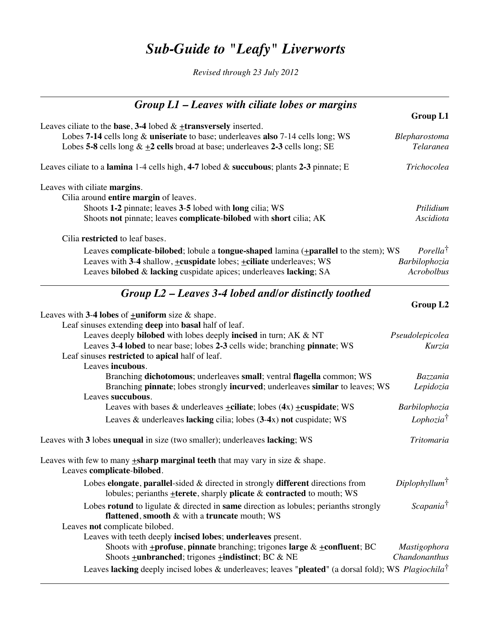# *Sub-Guide to "Leafy" Liverworts*

*Revised through 23 July 2012*

| $Group L1 - Leaves with ciliate lobes or margins$                                                                                                |                            |
|--------------------------------------------------------------------------------------------------------------------------------------------------|----------------------------|
|                                                                                                                                                  | Group L1                   |
| Leaves ciliate to the base, 3-4 lobed $&$ +transversely inserted.                                                                                |                            |
| Lobes 7-14 cells long & uniseriate to base; underleaves also 7-14 cells long; WS                                                                 | Blepharostoma              |
| Lobes 5-8 cells long $\& \pm 2$ cells broad at base; underleaves 2-3 cells long; SE                                                              | <b>Telaranea</b>           |
| Leaves ciliate to a lamina $1-4$ cells high, 4-7 lobed & succubous; plants 2-3 pinnate; E                                                        | Trichocolea                |
| Leaves with ciliate margins.                                                                                                                     |                            |
| Cilia around entire margin of leaves.                                                                                                            |                            |
| Shoots 1-2 pinnate; leaves 3-5 lobed with long cilia; WS                                                                                         | Ptilidium                  |
| Shoots not pinnate; leaves complicate-bilobed with short cilia; AK                                                                               | Ascidiota                  |
| Cilia restricted to leaf bases.                                                                                                                  |                            |
| Leaves complicate-bilobed; lobule a tongue-shaped lamina $(\pm$ parallel to the stem); WS                                                        | <i>Porella<sup>†</sup></i> |
| Leaves with 3-4 shallow, $\pm$ cuspidate lobes; $\pm$ ciliate underleaves; WS                                                                    | Barbilophozia              |
| Leaves bilobed & lacking cuspidate apices; underleaves lacking; SA                                                                               | Acrobolbus                 |
| Group $L2$ – Leaves 3-4 lobed and/or distinctly toothed                                                                                          |                            |
|                                                                                                                                                  | Group L2                   |
| Leaves with 3-4 lobes of $\pm$ uniform size & shape.                                                                                             |                            |
| Leaf sinuses extending deep into basal half of leaf.                                                                                             |                            |
| Leaves deeply <b>bilobed</b> with lobes deeply incised in turn; AK & NT                                                                          | Pseudolepicolea            |
| Leaves 3-4 lobed to near base; lobes 2-3 cells wide; branching pinnate; WS                                                                       | Kurzia                     |
| Leaf sinuses restricted to apical half of leaf.                                                                                                  |                            |
| Leaves incubous.                                                                                                                                 |                            |
| Branching dichotomous; underleaves small; ventral flagella common; WS                                                                            | Bazzania                   |
| Branching pinnate; lobes strongly incurved; underleaves similar to leaves; WS                                                                    | Lepidozia                  |
| Leaves succubous.                                                                                                                                |                            |
| Leaves with bases & underleaves $\pm$ ciliate; lobes (4x) $\pm$ cuspidate; WS                                                                    | Barbilophozia              |
| Leaves $\&$ underleaves lacking cilia; lobes $(3-4x)$ not cuspidate; WS                                                                          | $Lophozia^{\dagger}$       |
| Leaves with 3 lobes unequal in size (two smaller); underleaves lacking; WS                                                                       | <b>Tritomaria</b>          |
| Leaves with few to many $\pm$ sharp marginal teeth that may vary in size & shape.<br>Leaves complicate-bilobed.                                  |                            |
| Lobes elongate, parallel-sided $\&$ directed in strongly different directions from                                                               | Diplophyllum <sup>†</sup>  |
| lobules; perianths $\pm$ terete, sharply plicate $\&$ contracted to mouth; WS                                                                    |                            |
| Lobes rotund to ligulate & directed in same direction as lobules; perianths strongly<br><b>flattened, smooth &amp; with a truncate mouth; WS</b> | Scapania <sup>†</sup>      |
| Leaves not complicate bilobed.                                                                                                                   |                            |
| Leaves with teeth deeply incised lobes; underleaves present.                                                                                     |                            |
| Shoots with $\pm$ profuse, pinnate branching; trigones large & $\pm$ confluent; BC                                                               | Mastigophora               |
| Shoots $\pm$ <b>unbranched</b> ; trigones $\pm$ <b>indistinct</b> ; BC & NE                                                                      | Chandonanthus              |
| Leaves lacking deeply incised lobes & underleaves; leaves "pleated" (a dorsal fold); WS Plagiochila <sup>†</sup>                                 |                            |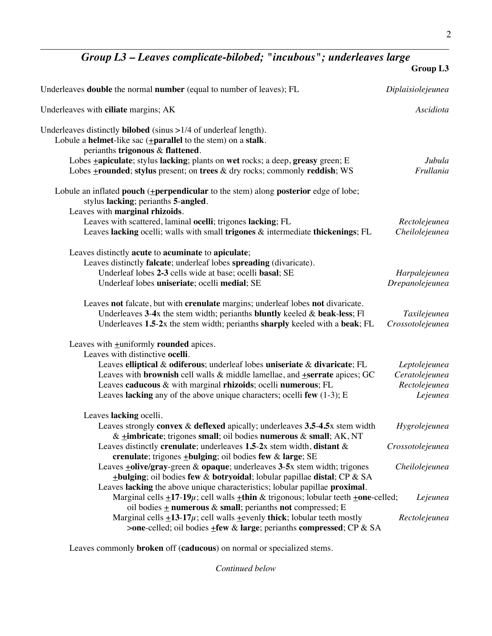## *Group L3 – Leaves complicate-bilobed; "incubous"; underleaves large*

|                                                                                                                                                                                                                                                                                                                                                                                                                   | Group L3                                                     |
|-------------------------------------------------------------------------------------------------------------------------------------------------------------------------------------------------------------------------------------------------------------------------------------------------------------------------------------------------------------------------------------------------------------------|--------------------------------------------------------------|
| Underleaves <b>double</b> the normal <b>number</b> (equal to number of leaves); FL                                                                                                                                                                                                                                                                                                                                | Diplaisiolejeunea                                            |
| Underleaves with ciliate margins; AK                                                                                                                                                                                                                                                                                                                                                                              | Ascidiota                                                    |
| Underleaves distinctly <b>bilobed</b> (sinus $>1/4$ of underleaf length).<br>Lobule a <b>helmet</b> -like sac $(\pm$ <b>parallel</b> to the stem) on a stalk.<br>perianths trigonous & flattened.                                                                                                                                                                                                                 |                                                              |
| Lobes <b>+apiculate</b> ; stylus lacking; plants on wet rocks; a deep, greasy green; E<br>Lobes +rounded; stylus present; on trees & dry rocks; commonly reddish; WS                                                                                                                                                                                                                                              | Jubula<br>Frullania                                          |
| Lobule an inflated pouch (+perpendicular to the stem) along posterior edge of lobe;<br>stylus lacking; perianths 5-angled.<br>Leaves with marginal rhizoids.                                                                                                                                                                                                                                                      |                                                              |
| Leaves with scattered, laminal ocelli; trigones lacking; FL<br>Leaves lacking ocelli; walls with small trigones & intermediate thickenings; FL                                                                                                                                                                                                                                                                    | Rectolejeunea<br>Cheilolejeunea                              |
| Leaves distinctly acute to acuminate to apiculate;<br>Leaves distinctly falcate; underleaf lobes spreading (divaricate).<br>Underleaf lobes 2-3 cells wide at base; ocelli basal; SE<br>Underleaf lobes uniseriate; ocelli medial; SE                                                                                                                                                                             | Harpalejeunea<br>Drepanolejeunea                             |
| Leaves not falcate, but with crenulate margins; underleaf lobes not divaricate.<br>Underleaves $3-4x$ the stem width; perianths bluntly keeled & beak-less; Fl<br>Underleaves 1.5-2x the stem width; perianths sharply keeled with a beak; FL                                                                                                                                                                     | Taxilejeunea<br>Crossotolejeunea                             |
| Leaves with $\pm$ uniformly rounded apices.<br>Leaves with distinctive ocelli.<br>Leaves elliptical & odiferous; underleaf lobes uniseriate & divaricate; FL<br>Leaves with <b>brownish</b> cell walls $\&$ middle lamellae, and <b>+serrate</b> apices; GC<br>Leaves caducous & with marginal rhizoids; ocelli numerous; FL<br>Leaves lacking any of the above unique characters; ocelli few $(1-3)$ ; E         | Leptolejeunea<br>Ceratolejeunea<br>Rectolejeunea<br>Lejeunea |
| Leaves lacking ocelli.<br>Leaves strongly convex $\&$ deflexed apically; underleaves $3.5-4.5x$ stem width<br>& $\pm$ imbricate; trigones small; oil bodies numerous & small; AK, NT<br>Leaves distinctly crenulate; underleaves $1.5-2x$ stem width, distant &<br>crenulate; trigones $\pm$ bulging; oil bodies few & large; SE<br>Leaves $\pm$ olive/gray-green & opaque; underleaves 3-5x stem width; trigones | Hygrolejeunea<br>Crossotolejeunea<br>Cheilolejeunea          |
| $\pm$ bulging; oil bodies few & botryoidal; lobular papillae distal; CP & SA<br>Leaves lacking the above unique characteristics; lobular papillae proximal.<br>Marginal cells $\pm 17$ -19 $\mu$ ; cell walls $\pm$ thin & trigonous; lobular teeth $\pm$ one-celled;<br>oil bodies $\pm$ numerous & small; perianths not compressed; E                                                                           | Lejeunea                                                     |
| Marginal cells $\pm$ 13-17 $\mu$ ; cell walls $\pm$ evenly thick; lobular teeth mostly<br>>one-celled; oil bodies +few & large; perianths compressed; CP & SA                                                                                                                                                                                                                                                     | Rectolejeunea                                                |

Leaves commonly **broken** off (**caducous**) on normal or specialized stems.

*Continued below*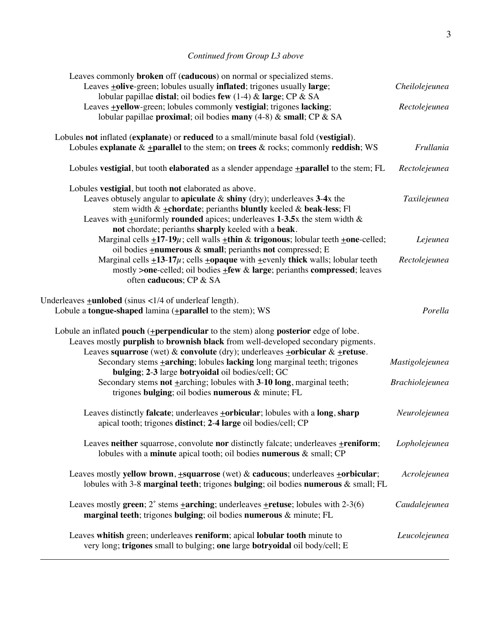### *Continued from Group L3 above*

| Leaves commonly broken off (caducous) on normal or specialized stems.<br>Leaves +olive-green; lobules usually inflated; trigones usually large;<br>lobular papillae distal; oil bodies few (1-4) & large; CP & SA                                                                                                                                   | Cheilolejeunea         |
|-----------------------------------------------------------------------------------------------------------------------------------------------------------------------------------------------------------------------------------------------------------------------------------------------------------------------------------------------------|------------------------|
| Leaves $\pm$ yellow-green; lobules commonly vestigial; trigones lacking;<br>lobular papillae proximal; oil bodies many (4-8) & small; CP & SA                                                                                                                                                                                                       | Rectolejeunea          |
| Lobules not inflated (explanate) or reduced to a small/minute basal fold (vestigial).<br>Lobules explanate $\& \pm$ parallel to the stem; on trees $\&$ rocks; commonly reddish; WS                                                                                                                                                                 | Frullania              |
| Lobules vestigial, but tooth elaborated as a slender appendage $\pm$ parallel to the stem; FL                                                                                                                                                                                                                                                       | Rectolejeunea          |
| Lobules vestigial, but tooth not elaborated as above.<br>Leaves obtusely angular to apiculate $\&$ shiny (dry); underleaves 3-4x the<br>stem width $& \pm \text{chordate}$ ; perianths bluntly keeled & beak-less; Fl<br>Leaves with $\pm$ uniformly <b>rounded</b> apices; underleaves 1-3.5x the stem width &                                     | Taxilejeunea           |
| not chordate; perianths sharply keeled with a beak.<br>Marginal cells $\pm 17-19\mu$ ; cell walls $\pm$ thin & trigonous; lobular teeth $\pm$ one-celled;<br>oil bodies <b>+numerous</b> & small; perianths not compressed; E                                                                                                                       | Lejeunea               |
| Marginal cells $\pm 13.17\mu$ ; cells $\pm$ opaque with $\pm$ evenly thick walls; lobular teeth<br>mostly >one-celled; oil bodies +few & large; perianths compressed; leaves<br>often caducous; CP & SA                                                                                                                                             | Rectolejeunea          |
| Underleaves $\pm$ <b>unlobed</b> (sinus <1/4 of underleaf length).<br>Lobule a <b>tongue-shaped</b> lamina $($ <b>+parallel</b> to the stem); WS                                                                                                                                                                                                    | Porella                |
| Lobule an inflated pouch (+perpendicular to the stem) along posterior edge of lobe.<br>Leaves mostly purplish to brownish black from well-developed secondary pigments.<br>Leaves squarrose (wet) & convolute (dry); underleaves $\pm$ orbicular & $\pm$ retuse.<br>Secondary stems <b>+arching</b> ; lobules lacking long marginal teeth; trigones | Mastigolejeunea        |
| bulging; 2-3 large botryoidal oil bodies/cell; GC<br>Secondary stems not $\pm$ arching; lobules with 3-10 long, marginal teeth;<br>trigones bulging; oil bodies numerous & minute; FL                                                                                                                                                               | <b>Brachiolejeunea</b> |
| Leaves distinctly falcate; underleaves <b>+orbicular</b> ; lobules with a long, sharp<br>apical tooth; trigones distinct; 2-4 large oil bodies/cell; CP                                                                                                                                                                                             | Neurolejeunea          |
| Leaves neither squarrose, convolute nor distinctly falcate; underleaves +reniform;<br>lobules with a minute apical tooth; oil bodies numerous & small; CP                                                                                                                                                                                           | Lopholejeunea          |
| Leaves mostly yellow brown, $\pm$ squarrose (wet) & caducous; underleaves $\pm$ orbicular;<br>lobules with 3-8 marginal teeth; trigones bulging; oil bodies numerous $\&$ small; FL                                                                                                                                                                 | Acrolejeunea           |
| Leaves mostly green; $2^{\circ}$ stems $\pm$ arching; underleaves $\pm$ retuse; lobules with 2-3(6)<br>marginal teeth; trigones bulging; oil bodies numerous & minute; FL                                                                                                                                                                           | Caudalejeunea          |
| Leaves whitish green; underleaves reniform; apical lobular tooth minute to<br>very long; trigones small to bulging; one large botryoidal oil body/cell; E                                                                                                                                                                                           | Leucolejeunea          |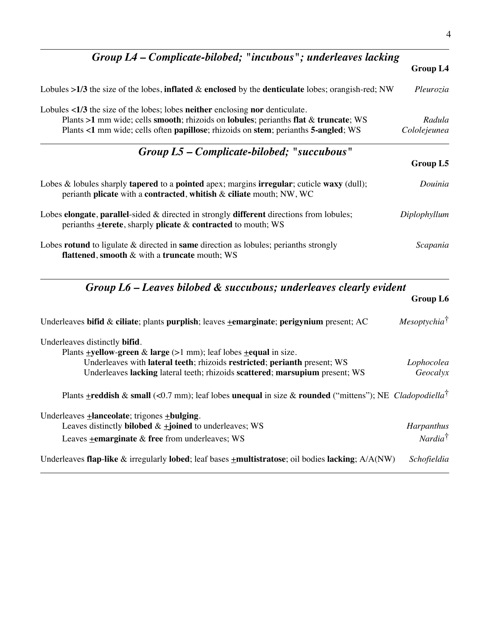| Group L4 – Complicate-bilobed; "incubous"; underleaves lacking                                                                                                                                                                                                                               |                        |
|----------------------------------------------------------------------------------------------------------------------------------------------------------------------------------------------------------------------------------------------------------------------------------------------|------------------------|
|                                                                                                                                                                                                                                                                                              | <b>Group L4</b>        |
| Lobules >1/3 the size of the lobes, inflated & enclosed by the denticulate lobes; orangish-red; NW                                                                                                                                                                                           | Pleurozia              |
| Lobules $\langle 1/3 \rangle$ the size of the lobes; lobes neither enclosing nor denticulate.<br>Plants $>1$ mm wide; cells <b>smooth</b> ; rhizoids on <b>lobules</b> ; perianths flat & truncate; WS<br>Plants <1 mm wide; cells often papillose; rhizoids on stem; perianths 5-angled; WS | Radula<br>Cololejeunea |
| Group L5 – Complicate-bilobed; "succubous"                                                                                                                                                                                                                                                   | Group L5               |
| Lobes & lobules sharply <b>tapered</b> to a <b>pointed</b> apex; margins <b>irregular</b> ; cuticle <b>waxy</b> (dull);<br>perianth plicate with a contracted, whitish & ciliate mouth; NW, WC                                                                                               | Douinia                |
| Lobes <b>elongate</b> , <b>parallel</b> -sided $\&$ directed in strongly <b>different</b> directions from lobules;<br>perianths $\pm$ terete, sharply plicate & contracted to mouth; WS                                                                                                      | Diplophyllum           |
| Lobes rotund to ligulate $\&$ directed in same direction as lobules; perianths strongly<br><b>flattened, smooth &amp; with a truncate mouth; WS</b>                                                                                                                                          | Scapania               |

### *Group L6 – Leaves bilobed & succubous; underleaves clearly evident* **Group L6**

| Underleaves bifid & ciliate; plants purplish; leaves $\pm$ emarginate; perigynium present; AC                             | $Mesoptychia^{\dagger}$ |
|---------------------------------------------------------------------------------------------------------------------------|-------------------------|
| Underleaves distinctly <b>bifid</b> .                                                                                     |                         |
| Plants <b>+yellow-green</b> & <b>large</b> ( $>1$ mm); leaf lobes <b>+equal</b> in size.                                  |                         |
| Underleaves with lateral teeth; rhizoids restricted; perianth present; WS                                                 | Lophocolea              |
| Underleaves lacking lateral teeth; rhizoids scattered; marsupium present; WS                                              | Geocalyx                |
| Plants <b>+reddish</b> & small (<0.7 mm); leaf lobes unequal in size & rounded ("mittens"); NE Cladopodiella <sup>†</sup> |                         |
| Underleaves $\pm$ <b>lanceolate</b> ; trigones $\pm$ <b>bulging</b> .                                                     |                         |
| Leaves distinctly <b>bilobed</b> $\& \pm \text{joined}$ to underleaves; WS                                                | Harpanthus              |
| Leaves +emarginate & free from underleaves; WS                                                                            | Nardia <sup>†</sup>     |
| Underleaves flap-like & irregularly lobed; leaf bases $\pm$ multistratose; oil bodies lacking; $A/A(NW)$                  | Schofieldia             |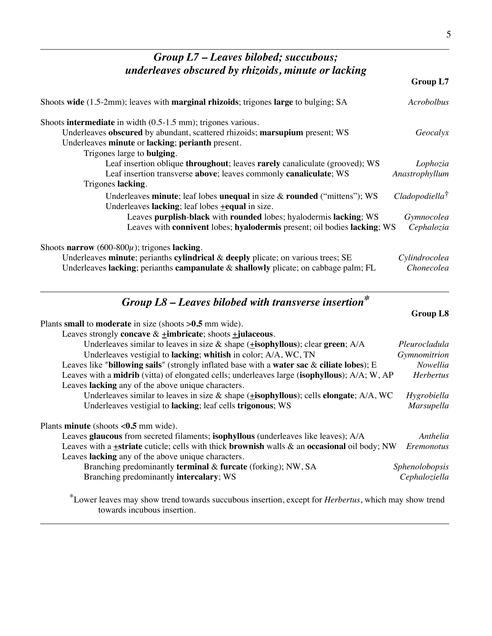| Group L7 - Leaves bilobed; succubous;                                                                                                                                                                                                                                                |                                                           |
|--------------------------------------------------------------------------------------------------------------------------------------------------------------------------------------------------------------------------------------------------------------------------------------|-----------------------------------------------------------|
| underleaves obscured by rhizoids, minute or lacking                                                                                                                                                                                                                                  | Group L7                                                  |
| Shoots wide (1.5-2mm); leaves with marginal rhizoids; trigones large to bulging; SA                                                                                                                                                                                                  | <b>Acrobolbus</b>                                         |
| Shoots intermediate in width $(0.5-1.5 \text{ mm})$ ; trigones various.<br>Underleaves obscured by abundant, scattered rhizoids; marsupium present; WS<br>Underleaves minute or lacking; perianth present.<br>Trigones large to <b>bulging</b> .                                     | Geocalyx                                                  |
| Leaf insertion oblique throughout; leaves rarely canaliculate (grooved); WS<br>Leaf insertion transverse above; leaves commonly canaliculate; WS<br>Trigones lacking.                                                                                                                | Lophozia<br>Anastrophyllum                                |
| Underleaves minute; leaf lobes unequal in size $\&$ rounded ("mittens"); WS<br>Underleaves lacking; leaf lobes $\pm$ equal in size.<br>Leaves purplish-black with rounded lobes; hyalodermis lacking; WS<br>Leaves with connivent lobes; hyalodermis present; oil bodies lacking; WS | $C$ ladopodiella <sup>†</sup><br>Gymnocolea<br>Cephalozia |
| Shoots narrow (600-800 $\mu$ ); trigones lacking.<br>Underleaves minute; perianths cylindrical & deeply plicate; on various trees; SE<br>Underleaves lacking; perianths campanulate & shallowly plicate; on cabbage palm; FL                                                         | Cylindrocolea<br>Chonecolea                               |
| Group $LS$ – Leaves bilobed with transverse insertion*<br>Plants small to moderate in size (shoots $>0.5$ mm wide).<br>Leaves strongly concave $&$ +imbricate; shoots +julaceous.                                                                                                    | Group L8                                                  |
| Underlasses similar to leaves in size $\&$ shape (tisenhyllous); clear groom: $\Lambda/\Lambda$                                                                                                                                                                                      | Dlaurochada                                               |

| Underleaves similar to leaves in size $\&$ shape ( $\pm$ <b>isophyllous</b> ); clear green; A/A                   | Pleurocladula    |
|-------------------------------------------------------------------------------------------------------------------|------------------|
| Underleaves vestigial to lacking; whitish in color; A/A, WC, TN                                                   | Gymnomitrion     |
| Leaves like "billowing sails" (strongly inflated base with a water sac $\&$ ciliate lobes); E                     | Nowellia         |
| Leaves with a <b>midrib</b> (vitta) of elongated cells; underleaves large ( <b>isophyllous</b> ); A/A; W, AP      | <b>Herbertus</b> |
| Leaves lacking any of the above unique characters.                                                                |                  |
| Underleaves similar to leaves in size & shape $(\pm \text{isophyllous})$ ; cells <b>elongate</b> ; A/A, WC        | Hygrobiella      |
| Underleaves vestigial to lacking; leaf cells trigonous; WS                                                        | Marsupella       |
| Plants <b>minute</b> (shoots $< 0.5$ mm wide).                                                                    |                  |
| Leaves glaucous from secreted filaments; isophyllous (underleaves like leaves); A/A                               | Anthelia         |
| Leaves with a <b>+striate</b> cuticle; cells with thick <b>brownish</b> walls & an <b>occasional</b> oil body; NW | Eremonotus       |
|                                                                                                                   |                  |

Leaves **lacking** any of the above unique characters. Branching predominantly **terminal** & **furcate** (forking); NW, SA *Sphenolobopsis*<br>Branching predominantly **intercalary**; WS *Cephaloziella* Branching predominantly *intercalary*; WS

\*Lower leaves may show trend towards succubous insertion, except for *Herbertus*, which may show trend towards incubous insertion.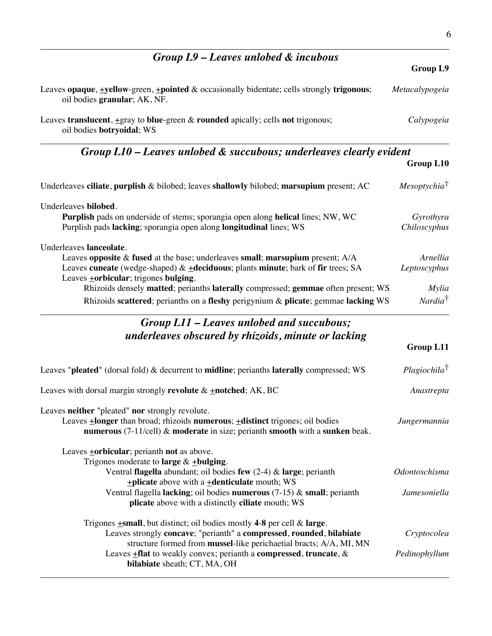| $Group L9 - Leaves unlobed \& incubous$                                                                                                                                                                                                                                                                  |                               |
|----------------------------------------------------------------------------------------------------------------------------------------------------------------------------------------------------------------------------------------------------------------------------------------------------------|-------------------------------|
|                                                                                                                                                                                                                                                                                                          | Group L9                      |
| Leaves opaque, $\pm$ yellow-green, $\pm$ pointed & occasionally bidentate; cells strongly trigonous;<br>oil bodies granular; AK, NF.                                                                                                                                                                     | Metacalypogeia                |
| Leaves translucent, +gray to blue-green & rounded apically; cells not trigonous;<br>oil bodies botryoidal; WS                                                                                                                                                                                            | Calypogeia                    |
| Group L10 – Leaves unlobed & succubous; underleaves clearly evident                                                                                                                                                                                                                                      |                               |
|                                                                                                                                                                                                                                                                                                          | Group L10                     |
| Underleaves ciliate, purplish & bilobed; leaves shallowly bilobed; marsupium present; AC                                                                                                                                                                                                                 | Mesoptychia <sup>†</sup>      |
| Underleaves bilobed.<br>Purplish pads on underside of stems; sporangia open along helical lines; NW, WC<br>Purplish pads lacking; sporangia open along longitudinal lines; WS                                                                                                                            | Gyrothyra<br>Chiloscyphus     |
| Underleaves lanceolate.<br>Leaves opposite $\&$ fused at the base; underleaves small; marsupium present; $A/A$<br>Leaves cuneate (wedge-shaped) $\&$ +deciduous; plants minute; bark of fir trees; SA<br>Leaves <b>+orbicular</b> ; trigones <b>bulging</b> .                                            | Arnellia<br>Leptoscyphus      |
| Rhizoids densely matted; perianths laterally compressed; gemmae often present; WS                                                                                                                                                                                                                        | Mylia                         |
| Rhizoids scattered; perianths on a fleshy perigynium & plicate; gemmae lacking WS                                                                                                                                                                                                                        | Nardia <sup>†</sup>           |
| Group L11 – Leaves unlobed and succubous;                                                                                                                                                                                                                                                                |                               |
| underleaves obscured by rhizoids, minute or lacking                                                                                                                                                                                                                                                      |                               |
|                                                                                                                                                                                                                                                                                                          | Group L11                     |
| Leaves "pleated" (dorsal fold) & decurrent to midline; perianths laterally compressed; WS                                                                                                                                                                                                                | $Plagiochila^{\dagger}$       |
| Leaves with dorsal margin strongly revolute $\&$ +notched; AK, BC                                                                                                                                                                                                                                        | Anastrepta                    |
| Leaves neither "pleated" nor strongly revolute.<br>Leaves $\pm$ longer than broad; rhizoids numerous; $\pm$ distinct trigones; oil bodies<br>numerous $(7-11/cell)$ & moderate in size; perianth smooth with a sunken beak.                                                                              | Jungermannia                  |
| Leaves $\pm$ orbicular; perianth not as above.<br>Trigones moderate to large $&$ + bulging.<br>Ventral flagella abundant; oil bodies few $(2-4)$ & large; perianth<br>$\pm$ plicate above with a $\pm$ denticulate mouth; WS<br>Ventral flagella lacking; oil bodies numerous $(7-15)$ & small; perianth | Odontoschisma<br>Jamesoniella |
| plicate above with a distinctly ciliate mouth; WS                                                                                                                                                                                                                                                        |                               |
| Trigones $\pm$ small, but distinct; oil bodies mostly 4-8 per cell & large.<br>Leaves strongly concave; "perianth" a compressed, rounded, bilabiate<br>structure formed from mussel-like perichaetial bracts; A/A, MI, MN                                                                                | Cryptocolea                   |
| Leaves <b>+flat</b> to weakly convex; perianth a compressed, truncate, &<br>bilabiate sheath; CT, MA, OH                                                                                                                                                                                                 | Pedinophyllum                 |